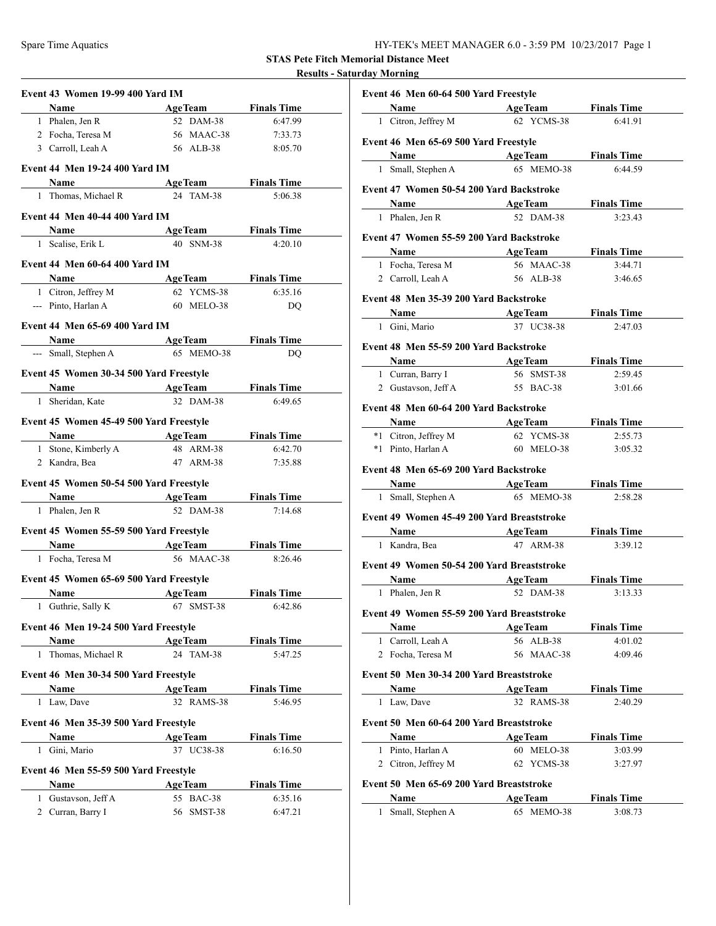**STAS Pete Fitch Memorial Distance Meet**

## **Results - Saturday Morning**

|   | Event 43 Women 19-99 400 Yard IM        |                            |                               |
|---|-----------------------------------------|----------------------------|-------------------------------|
|   | Name AgeTeam Finals Time                |                            |                               |
|   | 1 Phalen, Jen R                         | 52 DAM-38                  | 6:47.99                       |
|   | 2 Focha, Teresa M                       | 56 MAAC-38                 | 7:33.73                       |
|   | 3 Carroll, Leah A                       | 56 ALB-38                  | 8:05.70                       |
|   | <b>Event 44 Men 19-24 400 Yard IM</b>   |                            |                               |
|   | Name                                    | <b>AgeTeam</b>             | <b>Finals Time</b>            |
|   | 1 Thomas, Michael R                     | 24 TAM-38                  | 5:06.38                       |
|   | Event 44 Men 40-44 400 Yard IM          |                            |                               |
|   | <b>Name AgeTeam</b> Finals Time         |                            |                               |
|   | 1 Scalise, Erik L                       | 40 SNM-38                  | 4:20.10                       |
|   |                                         |                            |                               |
|   | <b>Event 44 Men 60-64 400 Yard IM</b>   |                            |                               |
|   | Name                                    | <b>AgeTeam</b> Finals Time |                               |
|   | 1 Citron, Jeffrey M                     | 62 YCMS-38                 | 6:35.16                       |
|   | --- Pinto, Harlan A                     | 60 MELO-38                 | DO                            |
|   | <b>Event 44 Men 65-69 400 Yard IM</b>   |                            |                               |
|   | Name AgeTeam Finals Time                |                            |                               |
|   | --- Small, Stephen A                    | 65 MEMO-38                 | DO                            |
|   | Event 45 Women 30-34 500 Yard Freestyle |                            |                               |
|   | Name AgeTeam Finals Time                |                            |                               |
|   | 1 Sheridan, Kate                        | 32 DAM-38                  | 6:49.65                       |
|   | Event 45 Women 45-49 500 Yard Freestyle |                            |                               |
|   | Name                                    | AgeTeam Finals Time        |                               |
|   | 1 Stone, Kimberly A                     | 48 ARM-38                  | 6:42.70                       |
|   | 2 Kandra, Bea                           | 47 ARM-38                  | 7:35.88                       |
|   | Event 45 Women 50-54 500 Yard Freestyle |                            |                               |
|   |                                         |                            |                               |
|   | Name AgeTeam<br>1 Phalen, Jen R         | 52 DAM-38                  | <b>Finals Time</b><br>7:14.68 |
|   |                                         |                            |                               |
|   | Event 45 Women 55-59 500 Yard Freestyle |                            |                               |
|   | Name AgeTeam                            |                            | <b>Finals Time</b>            |
|   | 1 Focha, Teresa M                       | 56 MAAC-38                 | 8:26.46                       |
|   | Event 45 Women 65-69 500 Yard Freestyle |                            |                               |
|   | <b>Name</b>                             | <b>AgeTeam</b>             | <b>Finals Time</b>            |
|   | 1 Guthrie, Sally K                      | 67 SMST-38                 | 6:42.86                       |
|   | Event 46 Men 19-24 500 Yard Freestyle   |                            |                               |
|   | Name                                    | <b>AgeTeam</b>             | <b>Finals Time</b>            |
|   | 1 Thomas, Michael R                     | 24 TAM-38                  | 5:47.25                       |
|   | Event 46 Men 30-34 500 Yard Freestyle   |                            |                               |
|   | Name                                    | <b>AgeTeam</b>             | <b>Finals Time</b>            |
|   | 1 Law, Dave                             | 32 RAMS-38                 | 5:46.95                       |
|   |                                         |                            |                               |
|   |                                         |                            |                               |
|   | Event 46 Men 35-39 500 Yard Freestyle   |                            |                               |
|   | Name                                    | <b>AgeTeam</b>             | <b>Finals Time</b>            |
| 1 | Gini, Mario                             | 37 UC38-38                 | 6:16.50                       |
|   | Event 46 Men 55-59 500 Yard Freestyle   |                            |                               |
|   | Name                                    | <b>AgeTeam</b>             | <b>Finals Time</b>            |
| 1 | Gustavson, Jeff A<br>2 Curran, Barry I  | 55 BAC-38                  | 6:35.16                       |

|                                        | Event 46 Men 60-64 500 Yard Freestyle                                                                                                                                                                                         |  |                              |                               |  |  |  |  |  |  |
|----------------------------------------|-------------------------------------------------------------------------------------------------------------------------------------------------------------------------------------------------------------------------------|--|------------------------------|-------------------------------|--|--|--|--|--|--|
|                                        | Name and the same state of the state of the state of the state of the state of the state of the state of the state of the state of the state of the state of the state of the state of the state of the state of the state of |  | <b>AgeTeam</b>               | <b>Finals Time</b>            |  |  |  |  |  |  |
|                                        | 1 Citron, Jeffrey M                                                                                                                                                                                                           |  | 62 YCMS-38                   | 6:41.91                       |  |  |  |  |  |  |
|                                        | Event 46 Men 65-69 500 Yard Freestyle                                                                                                                                                                                         |  |                              |                               |  |  |  |  |  |  |
|                                        | Name AgeTeam                                                                                                                                                                                                                  |  |                              | <b>Finals Time</b>            |  |  |  |  |  |  |
|                                        | 1 Small, Stephen A                                                                                                                                                                                                            |  | 65 MEMO-38                   | 6:44.59                       |  |  |  |  |  |  |
|                                        | Event 47 Women 50-54 200 Yard Backstroke                                                                                                                                                                                      |  |                              |                               |  |  |  |  |  |  |
|                                        | Name AgeTeam                                                                                                                                                                                                                  |  |                              | <b>Finals Time</b>            |  |  |  |  |  |  |
|                                        | 1 Phalen, Jen R                                                                                                                                                                                                               |  | 52 DAM-38                    | 3:23.43                       |  |  |  |  |  |  |
|                                        | Event 47 Women 55-59 200 Yard Backstroke                                                                                                                                                                                      |  |                              |                               |  |  |  |  |  |  |
|                                        | Name AgeTeam                                                                                                                                                                                                                  |  |                              | <b>Finals Time</b>            |  |  |  |  |  |  |
|                                        | 1 Focha, Teresa M                                                                                                                                                                                                             |  | 56 MAAC-38                   | 3:44.71                       |  |  |  |  |  |  |
|                                        | 2 Carroll, Leah A                                                                                                                                                                                                             |  | 56 ALB-38                    | 3:46.65                       |  |  |  |  |  |  |
| Event 48 Men 35-39 200 Yard Backstroke |                                                                                                                                                                                                                               |  |                              |                               |  |  |  |  |  |  |
|                                        | Name Manual Structure                                                                                                                                                                                                         |  | <b>AgeTeam</b>               | <b>Finals Time</b>            |  |  |  |  |  |  |
|                                        | 1 Gini, Mario                                                                                                                                                                                                                 |  | 37 UC38-38                   | 2:47.03                       |  |  |  |  |  |  |
| Event 48 Men 55-59 200 Yard Backstroke |                                                                                                                                                                                                                               |  |                              |                               |  |  |  |  |  |  |
|                                        | Name                                                                                                                                                                                                                          |  | <b>AgeTeam</b>               | <b>Finals Time</b>            |  |  |  |  |  |  |
|                                        | 1 Curran, Barry I                                                                                                                                                                                                             |  | 56 SMST-38                   | 2:59.45                       |  |  |  |  |  |  |
|                                        | 2 Gustavson, Jeff A                                                                                                                                                                                                           |  | 55 BAC-38                    | 3:01.66                       |  |  |  |  |  |  |
|                                        | Event 48 Men 60-64 200 Yard Backstroke                                                                                                                                                                                        |  |                              |                               |  |  |  |  |  |  |
|                                        | <b>Name</b>                                                                                                                                                                                                                   |  | <b>AgeTeam</b>               | <b>Finals Time</b>            |  |  |  |  |  |  |
|                                        | *1 Citron, Jeffrey M                                                                                                                                                                                                          |  | 62 YCMS-38                   | 2:55.73                       |  |  |  |  |  |  |
|                                        | *1 Pinto, Harlan A                                                                                                                                                                                                            |  | 60 MELO-38                   | 3:05.32                       |  |  |  |  |  |  |
|                                        |                                                                                                                                                                                                                               |  |                              |                               |  |  |  |  |  |  |
|                                        |                                                                                                                                                                                                                               |  |                              |                               |  |  |  |  |  |  |
|                                        | Event 48 Men 65-69 200 Yard Backstroke                                                                                                                                                                                        |  |                              |                               |  |  |  |  |  |  |
|                                        | Name AgeTeam                                                                                                                                                                                                                  |  |                              | <b>Finals Time</b>            |  |  |  |  |  |  |
|                                        | 1 Small, Stephen A                                                                                                                                                                                                            |  | 65 MEMO-38                   | 2:58.28                       |  |  |  |  |  |  |
|                                        | Event 49 Women 45-49 200 Yard Breaststroke                                                                                                                                                                                    |  |                              |                               |  |  |  |  |  |  |
|                                        | Name AgeTeam                                                                                                                                                                                                                  |  |                              | <b>Finals Time</b>            |  |  |  |  |  |  |
|                                        | 1 Kandra, Bea                                                                                                                                                                                                                 |  | 47 ARM-38                    | 3:39.12                       |  |  |  |  |  |  |
|                                        | Event 49 Women 50-54 200 Yard Breaststroke                                                                                                                                                                                    |  |                              |                               |  |  |  |  |  |  |
|                                        | <b>Name</b>                                                                                                                                                                                                                   |  | <b>AgeTeam</b>               | <b>Finals Time</b>            |  |  |  |  |  |  |
|                                        | 1 Phalen, Jen R                                                                                                                                                                                                               |  | 52 DAM-38                    | 3:13.33                       |  |  |  |  |  |  |
|                                        | Event 49 Women 55-59 200 Yard Breaststroke                                                                                                                                                                                    |  |                              |                               |  |  |  |  |  |  |
|                                        | Name                                                                                                                                                                                                                          |  | <b>AgeTeam</b>               | <b>Finals Time</b>            |  |  |  |  |  |  |
|                                        | 1 Carroll, Leah A                                                                                                                                                                                                             |  | 56 ALB-38                    | 4:01.02                       |  |  |  |  |  |  |
|                                        | 2 Focha, Teresa M                                                                                                                                                                                                             |  | 56 MAAC-38                   | 4:09.46                       |  |  |  |  |  |  |
|                                        | Event 50 Men 30-34 200 Yard Breaststroke                                                                                                                                                                                      |  |                              |                               |  |  |  |  |  |  |
|                                        | Name                                                                                                                                                                                                                          |  | <b>AgeTeam</b>               | <b>Finals Time</b>            |  |  |  |  |  |  |
|                                        | 1 Law, Dave                                                                                                                                                                                                                   |  | 32 RAMS-38                   | 2:40.29                       |  |  |  |  |  |  |
|                                        | Event 50 Men 60-64 200 Yard Breaststroke                                                                                                                                                                                      |  |                              |                               |  |  |  |  |  |  |
|                                        | Name                                                                                                                                                                                                                          |  | <b>AgeTeam</b>               | <b>Finals Time</b>            |  |  |  |  |  |  |
|                                        | 1 Pinto, Harlan A                                                                                                                                                                                                             |  | 60 MELO-38                   | 3:03.99                       |  |  |  |  |  |  |
|                                        | 2 Citron, Jeffrey M                                                                                                                                                                                                           |  | 62 YCMS-38                   | 3:27.97                       |  |  |  |  |  |  |
|                                        |                                                                                                                                                                                                                               |  |                              |                               |  |  |  |  |  |  |
|                                        | Event 50 Men 65-69 200 Yard Breaststroke                                                                                                                                                                                      |  |                              |                               |  |  |  |  |  |  |
|                                        | Name<br>1 Small, Stephen A                                                                                                                                                                                                    |  | <b>AgeTeam</b><br>65 MEMO-38 | <b>Finals Time</b><br>3:08.73 |  |  |  |  |  |  |